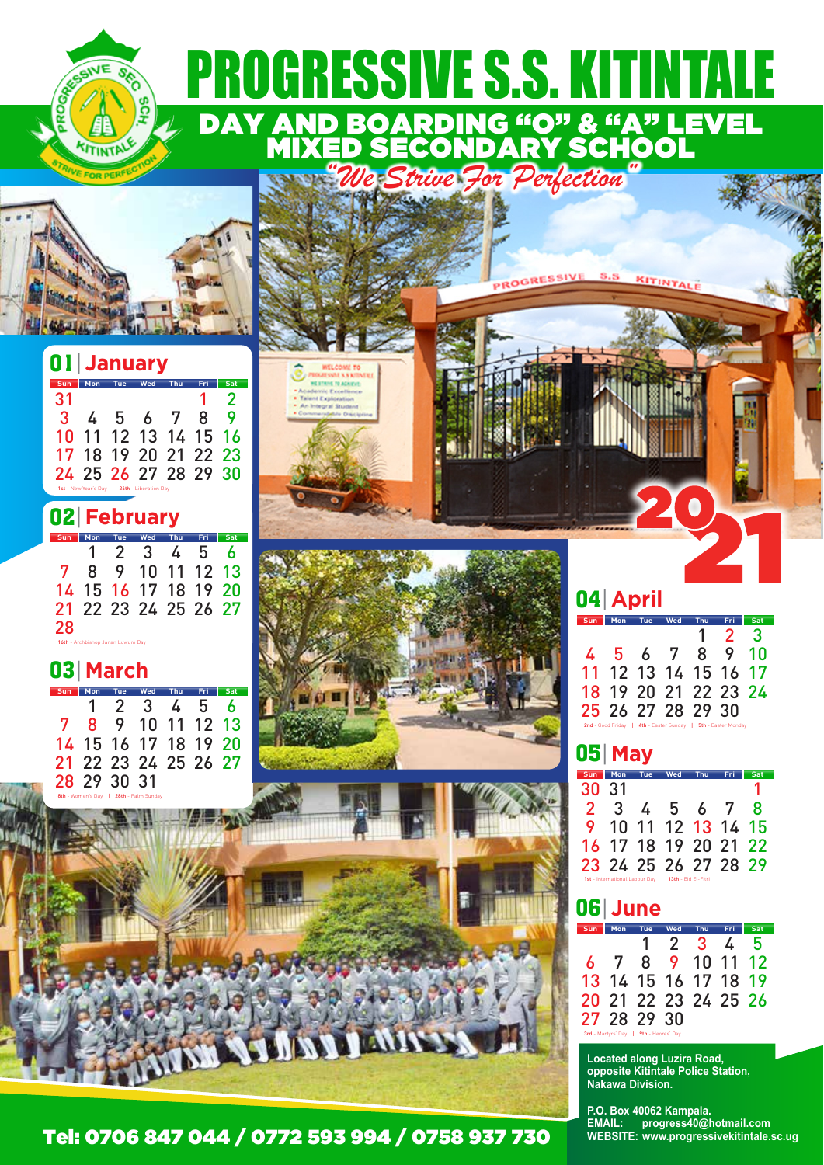

**PROGRESSIVE** 

**S.S** 

KITINTALE



SEC

**SCI** 

**ANE** 

VITINTA

|     | 01 January           |     |                       |                      |   |     |  |
|-----|----------------------|-----|-----------------------|----------------------|---|-----|--|
| Sun | Mon                  | Tue | Wed                   | Thu                  |   | Sat |  |
| 31  |                      |     |                       |                      |   | 2   |  |
| 3   | 4                    |     | 567                   |                      | 8 |     |  |
| 10  |                      |     |                       | 11 12 13 14 15 16    |   |     |  |
|     |                      |     |                       | 17 18 19 20 21 22 23 |   |     |  |
|     |                      |     |                       | 24 25 26 27 28 29 30 |   |     |  |
|     | 1st - New Year's Day |     | 26th - Liberation Day |                      |   |     |  |

|  |  |  | 02 February |
|--|--|--|-------------|
|--|--|--|-------------|

|    | Mon | Tue                               | Wed                  | Thu | Fri | Sat |
|----|-----|-----------------------------------|----------------------|-----|-----|-----|
|    |     | 2 3                               |                      | 4   | -5  | 6   |
| 7  | 8   |                                   | 9 10 11 12 13        |     |     |     |
|    |     |                                   | 14 15 16 17 18 19 20 |     |     |     |
|    |     |                                   | 21 22 23 24 25 26 27 |     |     |     |
| 28 |     |                                   |                      |     |     |     |
|    |     | 16th - Archbishop Janan Luwum Day |                      |     |     |     |

#### 03| **March**

| Sun | <b>Mon</b>                             | Tue         | Wed                  | Thu | Fri | Sat |  |  |  |
|-----|----------------------------------------|-------------|----------------------|-----|-----|-----|--|--|--|
|     | $\mathbf{1}$                           | 2 3         |                      | 45  |     | Ь   |  |  |  |
| 7   | 8                                      |             | 9 10 11 12 13        |     |     |     |  |  |  |
|     |                                        |             | 14 15 16 17 18 19 20 |     |     |     |  |  |  |
|     |                                        |             | 21 22 23 24 25 26 27 |     |     |     |  |  |  |
|     |                                        | 28 29 30 31 |                      |     |     |     |  |  |  |
|     | 8th - Women's Day   28th - Palm Sunday |             |                      |     |     |     |  |  |  |







#### Tel: 0706 847 044 / 0772 593 994 / 0758 937 730

|                      | 04 April |            |     |             |     |  |  |  |  |
|----------------------|----------|------------|-----|-------------|-----|--|--|--|--|
| Sun Mon              | Tue      | <b>Wed</b> | Thu | Fri         | Sat |  |  |  |  |
|                      |          |            |     | $1 \t2 \t3$ |     |  |  |  |  |
| 4 5 6 7 8 9 10       |          |            |     |             |     |  |  |  |  |
| 11 12 13 14 15 16 17 |          |            |     |             |     |  |  |  |  |
| 18 19 20 21 22 23 24 |          |            |     |             |     |  |  |  |  |
| 25 26 27 28 29 30    |          |            |     |             |     |  |  |  |  |

#### 05| **May**

| Sun   | Mon          | Tue                            | Wed                  | Thu                 | Fri | Sat |
|-------|--------------|--------------------------------|----------------------|---------------------|-----|-----|
| 30 31 |              |                                |                      |                     |     |     |
| 2.    | $\mathbf{3}$ |                                | 4 5 6 7              |                     |     | 8   |
|       |              |                                | 9 10 11 12 13 14 15  |                     |     |     |
|       |              |                                | 16 17 18 19 20 21 22 |                     |     |     |
|       |              |                                | 23 24 25 26 27 28 29 |                     |     |     |
|       |              | 1st - International Labour Dav |                      | 13th - Eid El-Fitri |     |     |

2nd - Good Friday | 4th - Easter Sunday | 5th - Easter Monday

#### 06| **June**

|   | Mon                                    | Tue | Wed            | Thu        |   | Sat |
|---|----------------------------------------|-----|----------------|------------|---|-----|
|   |                                        | Ί.  | 2 <sup>3</sup> |            | 4 | 5   |
| 6 | 7                                      | 8   |                | 9 10 11 12 |   |     |
|   | 13 14 15 16 17 18 19                   |     |                |            |   |     |
|   | 20 21 22 23 24 25 26                   |     |                |            |   |     |
|   | 27 28 29 30                            |     |                |            |   |     |
|   | 3rd - Martyrs' Day   9th - Heores' Day |     |                |            |   |     |

**Located along Luzira Road, opposite Kitintale Police Station, Nakawa Division.**

**P.O. Box 40062 Kampala. EMAIL: progress40@hotmail.com WEBSITE: www.progressivekitintale.sc.ug**